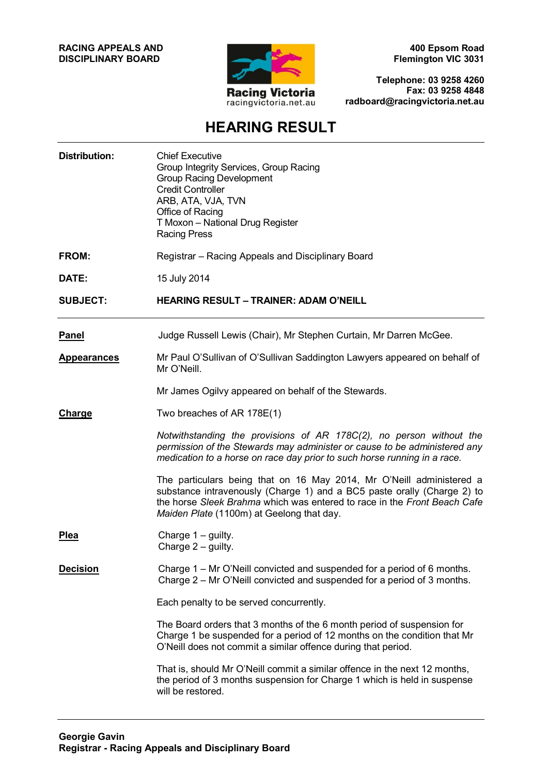**RACING APPEALS AND DISCIPLINARY BOARD**



**400 Epsom Road Flemington VIC 3031**

**Telephone: 03 9258 4260 Fax: 03 9258 4848 radboard@racingvictoria.net.au**

## **HEARING RESULT**

| <b>Distribution:</b> | <b>Chief Executive</b><br>Group Integrity Services, Group Racing<br><b>Group Racing Development</b><br><b>Credit Controller</b><br>ARB, ATA, VJA, TVN<br>Office of Racing<br>T Moxon - National Drug Register<br><b>Racing Press</b>                                     |
|----------------------|--------------------------------------------------------------------------------------------------------------------------------------------------------------------------------------------------------------------------------------------------------------------------|
| FROM:                | Registrar – Racing Appeals and Disciplinary Board                                                                                                                                                                                                                        |
| DATE:                | 15 July 2014                                                                                                                                                                                                                                                             |
| <b>SUBJECT:</b>      | <b>HEARING RESULT - TRAINER: ADAM O'NEILL</b>                                                                                                                                                                                                                            |
| <b>Panel</b>         | Judge Russell Lewis (Chair), Mr Stephen Curtain, Mr Darren McGee.                                                                                                                                                                                                        |
| <u>Appearances</u>   | Mr Paul O'Sullivan of O'Sullivan Saddington Lawyers appeared on behalf of<br>Mr O'Neill.                                                                                                                                                                                 |
|                      | Mr James Ogilvy appeared on behalf of the Stewards.                                                                                                                                                                                                                      |
| <b>Charge</b>        | Two breaches of AR 178E(1)                                                                                                                                                                                                                                               |
|                      | Notwithstanding the provisions of AR 178C(2), no person without the<br>permission of the Stewards may administer or cause to be administered any<br>medication to a horse on race day prior to such horse running in a race.                                             |
|                      | The particulars being that on 16 May 2014, Mr O'Neill administered a<br>substance intravenously (Charge 1) and a BC5 paste orally (Charge 2) to<br>the horse Sleek Brahma which was entered to race in the Front Beach Cafe<br>Maiden Plate (1100m) at Geelong that day. |
| <b>Plea</b>          | Charge $1 -$ guilty.<br>Charge 2 – guilty.                                                                                                                                                                                                                               |
| <b>Decision</b>      | Charge 1 - Mr O'Neill convicted and suspended for a period of 6 months.<br>Charge 2 - Mr O'Neill convicted and suspended for a period of 3 months.                                                                                                                       |
|                      | Each penalty to be served concurrently.                                                                                                                                                                                                                                  |
|                      | The Board orders that 3 months of the 6 month period of suspension for<br>Charge 1 be suspended for a period of 12 months on the condition that Mr<br>O'Neill does not commit a similar offence during that period.                                                      |
|                      | That is, should Mr O'Neill commit a similar offence in the next 12 months,<br>the period of 3 months suspension for Charge 1 which is held in suspense<br>will be restored.                                                                                              |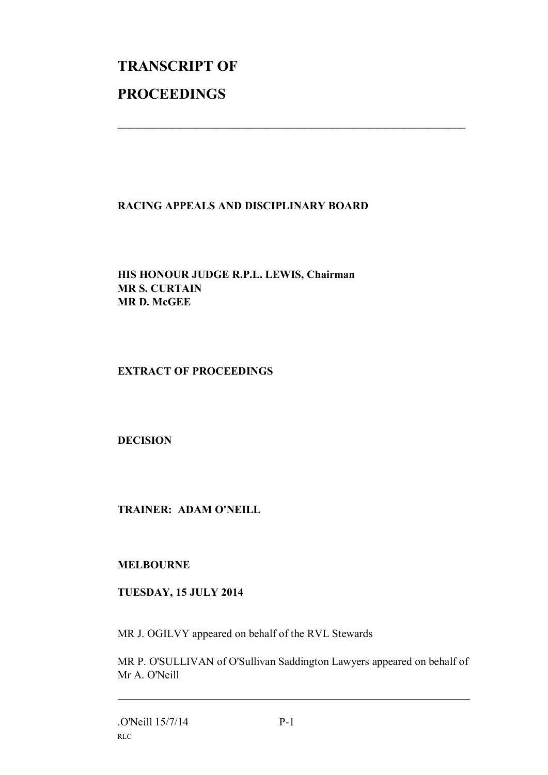# **TRANSCRIPT OF PROCEEDINGS**

### **RACING APPEALS AND DISCIPLINARY BOARD**

 $\mathcal{L}_\text{max}$  , and the contribution of the contribution of the contribution of the contribution of the contribution of the contribution of the contribution of the contribution of the contribution of the contribution of t

**HIS HONOUR JUDGE R.P.L. LEWIS, Chairman MR S. CURTAIN MR D. McGEE**

#### **EXTRACT OF PROCEEDINGS**

**DECISION**

**TRAINER: ADAM O'NEILL**

#### **MELBOURNE**

#### **TUESDAY, 15 JULY 2014**

MR J. OGILVY appeared on behalf of the RVL Stewards

MR P. O'SULLIVAN of O'Sullivan Saddington Lawyers appeared on behalf of Mr A. O'Neill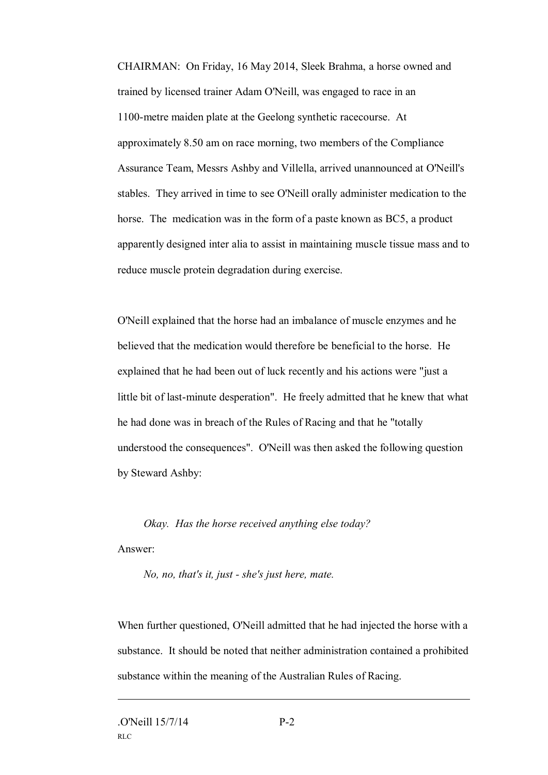CHAIRMAN: On Friday, 16 May 2014, Sleek Brahma, a horse owned and trained by licensed trainer Adam O'Neill, was engaged to race in an 1100-metre maiden plate at the Geelong synthetic racecourse. At approximately 8.50 am on race morning, two members of the Compliance Assurance Team, Messrs Ashby and Villella, arrived unannounced at O'Neill's stables. They arrived in time to see O'Neill orally administer medication to the horse. The medication was in the form of a paste known as BC5, a product apparently designed inter alia to assist in maintaining muscle tissue mass and to reduce muscle protein degradation during exercise.

O'Neill explained that the horse had an imbalance of muscle enzymes and he believed that the medication would therefore be beneficial to the horse. He explained that he had been out of luck recently and his actions were "just a little bit of last-minute desperation". He freely admitted that he knew that what he had done was in breach of the Rules of Racing and that he "totally understood the consequences". O'Neill was then asked the following question by Steward Ashby:

*Okay. Has the horse received anything else today?* Answer:

*No, no, that's it, just - she's just here, mate.*

When further questioned, O'Neill admitted that he had injected the horse with a substance. It should be noted that neither administration contained a prohibited substance within the meaning of the Australian Rules of Racing.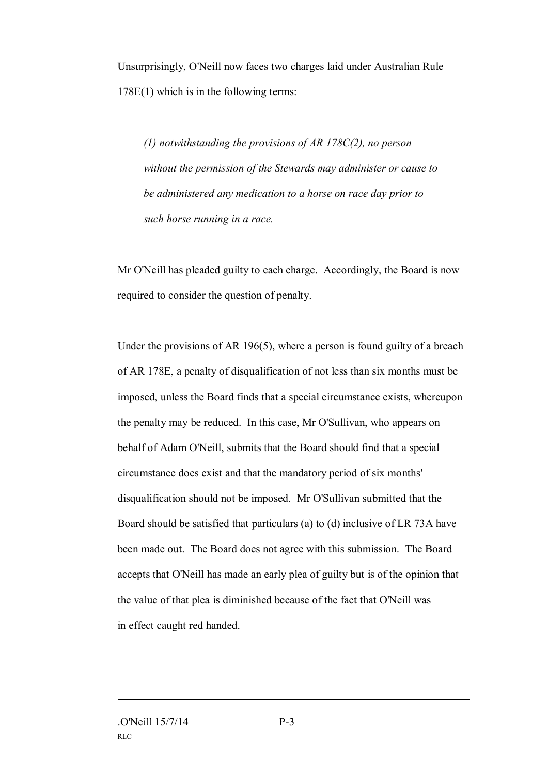Unsurprisingly, O'Neill now faces two charges laid under Australian Rule 178E(1) which is in the following terms:

*(1) notwithstanding the provisions of AR 178C(2), no person without the permission of the Stewards may administer or cause to be administered any medication to a horse on race day prior to such horse running in a race.*

Mr O'Neill has pleaded guilty to each charge. Accordingly, the Board is now required to consider the question of penalty.

Under the provisions of AR 196(5), where a person is found guilty of a breach of AR 178E, a penalty of disqualification of not less than six months must be imposed, unless the Board finds that a special circumstance exists, whereupon the penalty may be reduced. In this case, Mr O'Sullivan, who appears on behalf of Adam O'Neill, submits that the Board should find that a special circumstance does exist and that the mandatory period of six months' disqualification should not be imposed. Mr O'Sullivan submitted that the Board should be satisfied that particulars (a) to (d) inclusive of LR 73A have been made out. The Board does not agree with this submission. The Board accepts that O'Neill has made an early plea of guilty but is of the opinion that the value of that plea is diminished because of the fact that O'Neill was in effect caught red handed.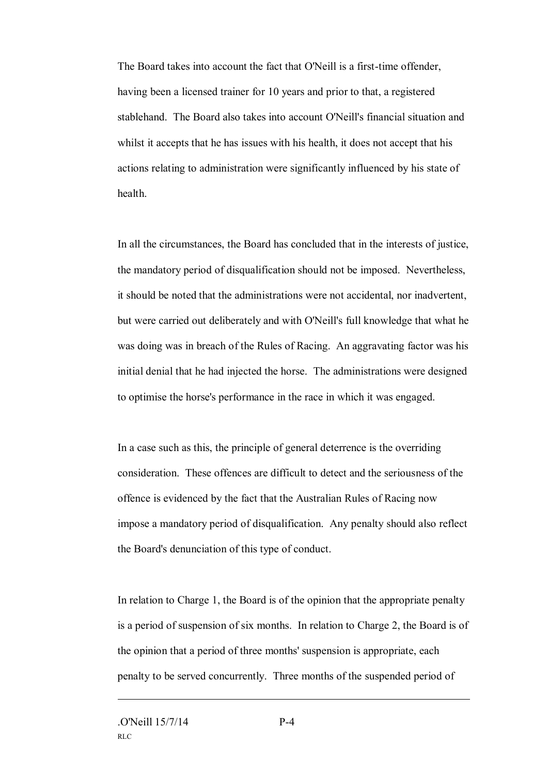The Board takes into account the fact that O'Neill is a first-time offender, having been a licensed trainer for 10 years and prior to that, a registered stablehand. The Board also takes into account O'Neill's financial situation and whilst it accepts that he has issues with his health, it does not accept that his actions relating to administration were significantly influenced by his state of health.

In all the circumstances, the Board has concluded that in the interests of justice, the mandatory period of disqualification should not be imposed. Nevertheless, it should be noted that the administrations were not accidental, nor inadvertent, but were carried out deliberately and with O'Neill's full knowledge that what he was doing was in breach of the Rules of Racing. An aggravating factor was his initial denial that he had injected the horse. The administrations were designed to optimise the horse's performance in the race in which it was engaged.

In a case such as this, the principle of general deterrence is the overriding consideration. These offences are difficult to detect and the seriousness of the offence is evidenced by the fact that the Australian Rules of Racing now impose a mandatory period of disqualification. Any penalty should also reflect the Board's denunciation of this type of conduct.

In relation to Charge 1, the Board is of the opinion that the appropriate penalty is a period of suspension of six months. In relation to Charge 2, the Board is of the opinion that a period of three months' suspension is appropriate, each penalty to be served concurrently. Three months of the suspended period of